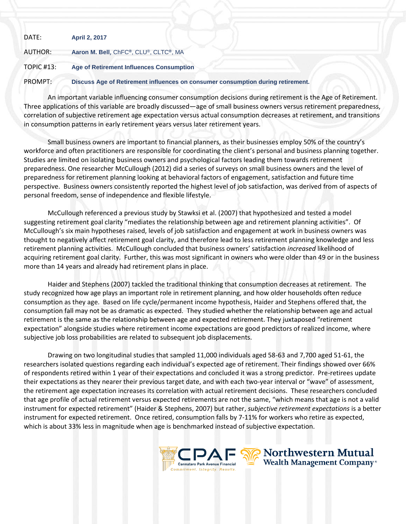| DATE:             | <b>April 2, 2017</b>                                                            |  |
|-------------------|---------------------------------------------------------------------------------|--|
| AUTHOR:           | Aaron M. Bell, ChFC®, CLU®, CLTC®, MA                                           |  |
| <b>TOPIC #13:</b> | Age of Retirement Influences Consumption                                        |  |
| PROMPT:           | Discuss Age of Retirement influences on consumer consumption during retirement. |  |

An important variable influencing consumer consumption decisions during retirement is the Age of Retirement. Three applications of this variable are broadly discussed—age of small business owners versus retirement preparedness, correlation of subjective retirement age expectation versus actual consumption decreases at retirement, and transitions in consumption patterns in early retirement years versus later retirement years.

Small business owners are important to financial planners, as their businesses employ 50% of the country's workforce and often practitioners are responsible for coordinating the client's personal and business planning together. Studies are limited on isolating business owners and psychological factors leading them towards retirement preparedness. One researcher McCullough (2012) did a series of surveys on small business owners and the level of preparedness for retirement planning looking at behavioral factors of engagement, satisfaction and future time perspective. Business owners consistently reported the highest level of job satisfaction, was derived from of aspects of personal freedom, sense of independence and flexible lifestyle.

McCullough referenced a previous study by Stawksi et al. (2007) that hypothesized and tested a model suggesting retirement goal clarity "mediates the relationship between age and retirement planning activities". Of McCullough's six main hypotheses raised, levels of job satisfaction and engagement at work in business owners was thought to negatively affect retirement goal clarity, and therefore lead to less retirement planning knowledge and less retirement planning activities. McCullough concluded that business owners' satisfaction *increased* likelihood of acquiring retirement goal clarity. Further, this was most significant in owners who were older than 49 or in the business more than 14 years and already had retirement plans in place.

Haider and Stephens (2007) tackled the traditional thinking that consumption decreases at retirement. The study recognized how age plays an important role in retirement planning, and how older households often reduce consumption as they age. Based on life cycle/permanent income hypothesis, Haider and Stephens offered that, the consumption fall may not be as dramatic as expected. They studied whether the relationship between age and actual retirement is the same as the relationship between age and expected retirement. They juxtaposed "retirement expectation" alongside studies where retirement income expectations are good predictors of realized income, where subjective job loss probabilities are related to subsequent job displacements.

Drawing on two longitudinal studies that sampled 11,000 individuals aged 58-63 and 7,700 aged 51-61, the researchers isolated questions regarding each individual's expected age of retirement. Their findings showed over 66% of respondents retired within 1 year of their expectations and concluded it was a strong predictor. Pre-retirees update their expectations as they nearer their previous target date, and with each two-year interval or "wave" of assessment, the retirement age expectation increases its correlation with actual retirement decisions. These researchers concluded that age profile of actual retirement versus expected retirements are not the same, "which means that age is not a valid instrument for expected retirement" (Haider & Stephens, 2007) but rather, *subjective retirement expectations* is a better instrument for expected retirement. Once retired, consumption falls by 7-11% for workers who retire as expected, which is about 33% less in magnitude when age is benchmarked instead of subjective expectation.